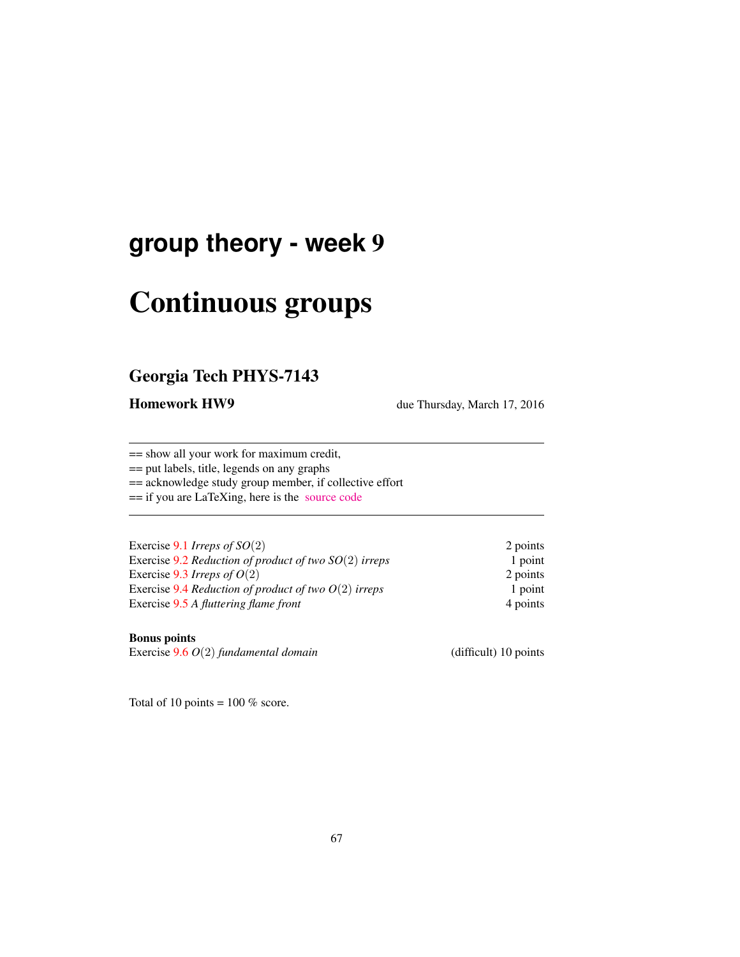# **group theory - week** 9

# Continuous groups

## Georgia Tech PHYS-7143

Homework HW9 due Thursday, March 17, 2016

== show all your work for maximum credit,

== put labels, title, legends on any graphs

== acknowledge study group member, if collective effort

== if you are LaTeXing, here is the [source code](http://birdtracks.eu/courses/PHYS-7143-16/exerWeek9.tex)

| Exercise 9.1 Irreps of $SO(2)$                          | 2 points |
|---------------------------------------------------------|----------|
| Exercise 9.2 Reduction of product of two $SO(2)$ irreps | 1 point  |
| Exercise 9.3 Irreps of $O(2)$                           | 2 points |
| Exercise 9.4 Reduction of product of two $O(2)$ irreps  | 1 point  |
| Exercise 9.5 A fluttering flame front                   | 4 points |

#### Bonus points

Exercise 9.6 *O*(2) *fundamental domain* (difficult) 10 points

Total of 10 points =  $100\%$  score.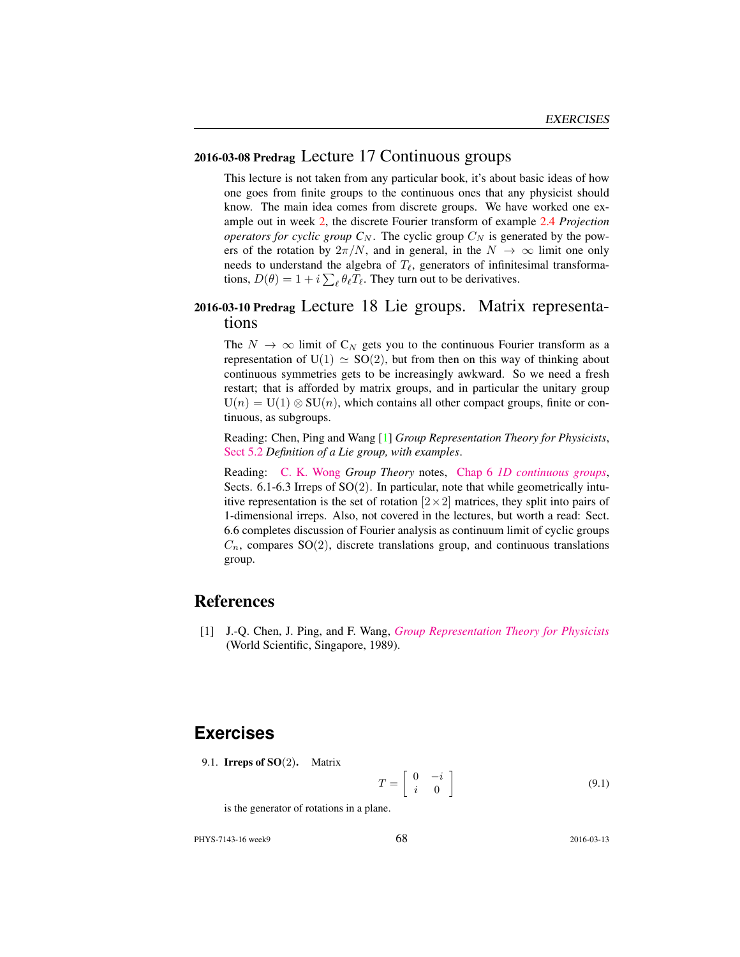### 2016-03-08 Predrag Lecture 17 Continuous groups

This lecture is not taken from any particular book, it's about basic ideas of how one goes from finite groups to the continuous ones that any physicist should know. The main idea comes from discrete groups. We have worked one example out in week 2, the discrete Fourier transform of example 2.4 *Projection operators for cyclic group*  $C_N$ . The cyclic group  $C_N$  is generated by the powers of the rotation by  $2\pi/N$ , and in general, in the  $N \to \infty$  limit one only needs to understand the algebra of  $T_\ell$ , generators of infinitesimal transformations,  $D(\theta) = 1 + i \sum_{\ell} \theta_{\ell} T_{\ell}$ . They turn out to be derivatives.

### 2016-03-10 Predrag Lecture 18 Lie groups. Matrix representations

The  $N \to \infty$  limit of C<sub>N</sub> gets you to the continuous Fourier transform as a representation of  $U(1) \simeq SO(2)$ , but from then on this way of thinking about continuous symmetries gets to be increasingly awkward. So we need a fresh restart; that is afforded by matrix groups, and in particular the unitary group  $U(n) = U(1) \otimes SU(n)$ , which contains all other compact groups, finite or continuous, as subgroups.

Reading: Chen, Ping and Wang [1] *Group Representation Theory for Physicists*, [Sect 5.2](http://chaosbook.org/library/Chen5-2.pdf) *Definition of a Lie group, with examples*.

Reading: [C. K. Wong](http://ckw.phys.ncku.edu.tw/) *Group Theory* notes, Chap 6 *[1D continuous groups](http://ckw.phys.ncku.edu.tw/public/pub/Notes/Mathematics/GroupTheory/Tung/Powerpoint/6._1DContinuousGroups.ppt)*, Sects.  $6.1-6.3$  Irreps of  $SO(2)$ . In particular, note that while geometrically intuitive representation is the set of rotation  $[2 \times 2]$  matrices, they split into pairs of 1-dimensional irreps. Also, not covered in the lectures, but worth a read: Sect. 6.6 completes discussion of Fourier analysis as continuum limit of cyclic groups  $C_n$ , compares SO(2), discrete translations group, and continuous translations group.

### References

[1] J.-Q. Chen, J. Ping, and F. Wang, *[Group Representation Theory for Physicists](http://dx.doi.org/10.1142/0262)* (World Scientific, Singapore, 1989).

## **Exercises**

9.1. **Irreps of SO** $(2)$ . Matrix

$$
T = \left[ \begin{array}{cc} 0 & -i \\ i & 0 \end{array} \right] \tag{9.1}
$$

is the generator of rotations in a plane.

PHYS-7143-16 week9 2016-03-13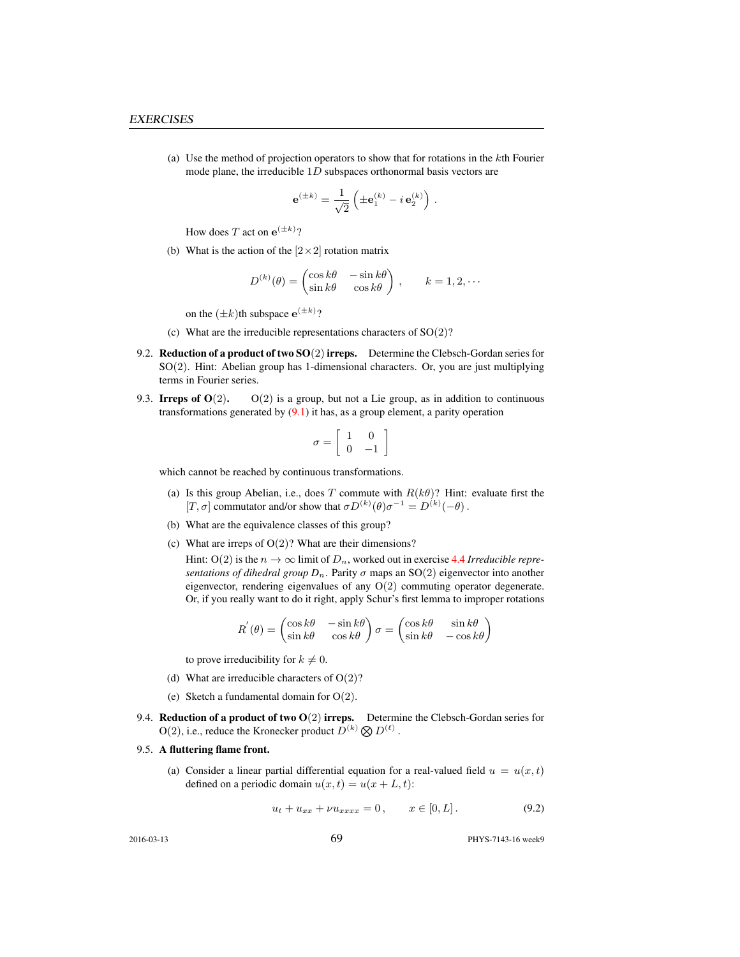(a) Use the method of projection operators to show that for rotations in the kth Fourier mode plane, the irreducible  $1D$  subspaces orthonormal basis vectors are

$$
\mathbf{e}^{(\pm k)} = \frac{1}{\sqrt{2}} \left( \pm \mathbf{e}_1^{(k)} - i \, \mathbf{e}_2^{(k)} \right) .
$$

How does T act on  $e^{(\pm k)}$ ?

(b) What is the action of the  $[2 \times 2]$  rotation matrix

$$
D^{(k)}(\theta) = \begin{pmatrix} \cos k\theta & -\sin k\theta \\ \sin k\theta & \cos k\theta \end{pmatrix}, \qquad k = 1, 2, \cdots
$$

on the  $(\pm k)$ th subspace  $e^{(\pm k)}$ ?

- (c) What are the irreducible representations characters of  $SO(2)$ ?
- 9.2. Reduction of a product of two  $SO(2)$  irreps. Determine the Clebsch-Gordan series for SO(2). Hint: Abelian group has 1-dimensional characters. Or, you are just multiplying terms in Fourier series.
- 9.3. Irreps of  $O(2)$ .  $O(2)$  is a group, but not a Lie group, as in addition to continuous transformations generated by  $(9.1)$  it has, as a group element, a parity operation

$$
\sigma = \left[ \begin{array}{cc} 1 & 0 \\ 0 & -1 \end{array} \right]
$$

which cannot be reached by continuous transformations.

- (a) Is this group Abelian, i.e., does T commute with  $R(k\theta)$ ? Hint: evaluate first the [T,  $\sigma$ ] commutator and/or show that  $\sigma D^{(k)}(\theta) \sigma^{-1} = D^{(k)}(-\theta)$ .
- (b) What are the equivalence classes of this group?
- (c) What are irreps of  $O(2)$ ? What are their dimensions?

Hint: O(2) is the  $n \to \infty$  limit of  $D_n$ , worked out in exercise 4.4 *Irreducible representations of dihedral group*  $D_n$ . Parity  $\sigma$  maps an SO(2) eigenvector into another eigenvector, rendering eigenvalues of any  $O(2)$  commuting operator degenerate. Or, if you really want to do it right, apply Schur's first lemma to improper rotations

$$
R^{'}(\theta) = \begin{pmatrix} \cos k\theta & -\sin k\theta \\ \sin k\theta & \cos k\theta \end{pmatrix} \sigma = \begin{pmatrix} \cos k\theta & \sin k\theta \\ \sin k\theta & -\cos k\theta \end{pmatrix}
$$

to prove irreducibility for  $k \neq 0$ .

- (d) What are irreducible characters of  $O(2)$ ?
- (e) Sketch a fundamental domain for  $O(2)$ .
- 9.4. Reduction of a product of two  $O(2)$  irreps. Determine the Clebsch-Gordan series for  $O(2)$ , i.e., reduce the Kronecker product  $D^{(k)} \otimes D^{(\ell)}$ .

#### 9.5. A fluttering flame front.

(a) Consider a linear partial differential equation for a real-valued field  $u = u(x, t)$ defined on a periodic domain  $u(x, t) = u(x + L, t)$ :

$$
u_t + u_{xx} + \nu u_{xxxx} = 0, \qquad x \in [0, L]. \tag{9.2}
$$

2016-03-13 **69** PHYS-7143-16 week9